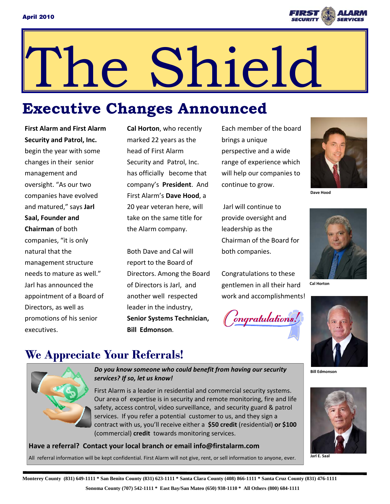

# The Shield

# **Executive Changes Announced**

**First Alarm and First Alarm Security and Patrol, Inc.**  begin the year with some changes in their senior management and oversight. "As our two companies have evolved and matured," says **Jarl Saal, Founder and Chairman** of both companies, "it is only natural that the management structure needs to mature as well." Jarl has announced the appointment of a Board of Directors, as well as promotions of his senior executives.

**Cal Horton**, who recently marked 22 years as the head of First Alarm Security and Patrol, Inc. has officially become that company's **President**. And First Alarm's **Dave Hood**, a 20 year veteran here, will take on the same title for the Alarm company.

Both Dave and Cal will report to the Board of Directors. Among the Board of Directors is Jarl, and another well respected leader in the industry, **Senior Systems Technician, Bill Edmonson**.

Each member of the board brings a unique perspective and a wide range of experience which will help our companies to continue to grow.

Jarl will continue to provide oversight and leadership as the Chairman of the Board for both companies.

Congratulations to these gentlemen in all their hard work and accomplishments!





**Dave Hood** 



**Cal Horton** 





**Jarl E. Saal** 

### **We Appreciate Your Referrals!**



*Do* you know someone who could benefit from having our security **BILLE BILE Edmonson** *services? If so, let us know!* 

First Alarm is a leader in residential and commercial security systems. Our area of expertise is in security and remote monitoring, fire and life safety, access control, video surveillance, and security guard & patrol services. If you refer a potential customer to us, and they sign a contract with us, you'll receive either a **\$50 credit** (residential) **or \$100** (commercial) **credit** towards monitoring services.

#### **Have a referral? Contact your local branch or email info@firstalarm.com**

All referral information will be kept confidential. First Alarm will not give, rent, or sell information to anyone, ever.

**Monterey County (831) 649-1111 \* San Benito County (831) 623-1111 \* Santa Clara County (408) 866-1111 \* Santa Cruz County (831) 476-1111 Sonoma County (707) 542-1111 \* East Bay/San Mateo (650) 938-1110 \* All Others (800) 684-1111**